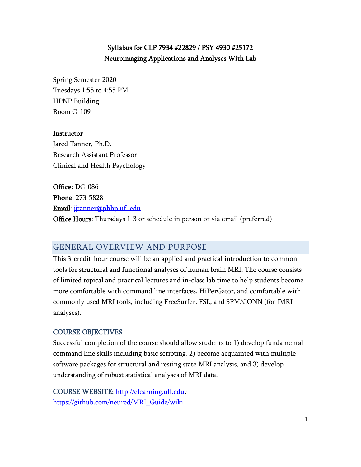# Syllabus for CLP 7934 #22829 / PSY 4930 #25172 Neuroimaging Applications and Analyses With Lab

Spring Semester 2020 Tuesdays 1:55 to 4:55 PM HPNP Building Room G-109

### **Instructor**

Jared Tanner, Ph.D. Research Assistant Professor Clinical and Health Psychology

Office: DG-086 Phone: 273-5828 Email: [jjtanner@phhp.ufl.edu](mailto:jjtanner@phhp.ufl.edu) Office Hours: Thursdays 1-3 or schedule in person or via email (preferred)

## GENERAL OVERVIEW AND PURPOSE

This 3-credit-hour course will be an applied and practical introduction to common tools for structural and functional analyses of human brain MRI. The course consists of limited topical and practical lectures and in-class lab time to help students become more comfortable with command line interfaces, HiPerGator, and comfortable with commonly used MRI tools, including FreeSurfer, FSL, and SPM/CONN (for fMRI analyses).

#### COURSE OBJECTIVES

Successful completion of the course should allow students to 1) develop fundamental command line skills including basic scripting, 2) become acquainted with multiple software packages for structural and resting state MRI analysis, and 3) develop understanding of robust statistical analyses of MRI data.

COURSE WEBSITE: [http://elearning.ufl.edu](http://elearning.ufl.edu/); [https://github.com/neured/MRI\\_Guide/wiki](https://github.com/neured/MRI_Guide/wiki)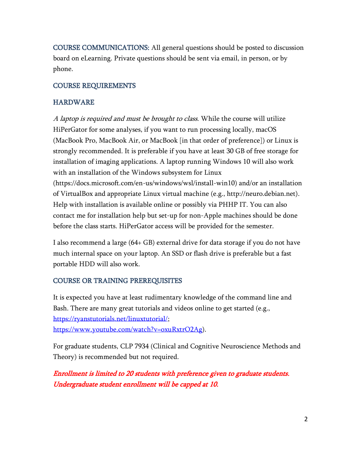COURSE COMMUNICATIONS: All general questions should be posted to discussion board on eLearning. Private questions should be sent via email, in person, or by phone.

## COURSE REQUIREMENTS

## **HARDWARE**

A laptop is required and must be brought to class. While the course will utilize HiPerGator for some analyses, if you want to run processing locally, macOS (MacBook Pro, MacBook Air, or MacBook [in that order of preference]) or Linux is strongly recommended. It is preferable if you have at least 30 GB of free storage for installation of imaging applications. A laptop running Windows 10 will also work with an installation of the Windows subsystem for Linux (https://docs.microsoft.com/en-us/windows/wsl/install-win10) and/or an installation of VirtualBox and appropriate Linux virtual machine (e.g., http://neuro.debian.net). Help with installation is available online or possibly via PHHP IT. You can also contact me for installation help but set-up for non-Apple machines should be done before the class starts. HiPerGator access will be provided for the semester.

I also recommend a large (64+ GB) external drive for data storage if you do not have much internal space on your laptop. An SSD or flash drive is preferable but a fast portable HDD will also work.

# COURSE OR TRAINING PREREQUISITES

It is expected you have at least rudimentary knowledge of the command line and Bash. There are many great tutorials and videos online to get started (e.g., [https://ryanstutorials.net/linuxtutorial/;](https://ryanstutorials.net/linuxtutorial/) [https://www.youtube.com/watch?v=oxuRxtrO2Ag\)](https://www.youtube.com/watch?v=oxuRxtrO2Ag).

For graduate students, CLP 7934 (Clinical and Cognitive Neuroscience Methods and Theory) is recommended but not required.

Enrollment is limited to 20 students with preference given to graduate students. Undergraduate student enrollment will be capped at 10.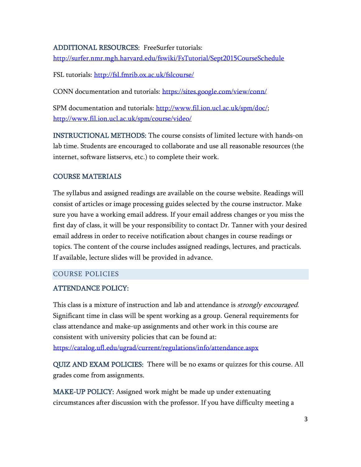## ADDITIONAL RESOURCES: FreeSurfer tutorials:

<http://surfer.nmr.mgh.harvard.edu/fswiki/FsTutorial/Sept2015CourseSchedule>

FSL tutorials:<http://fsl.fmrib.ox.ac.uk/fslcourse/>

CONN documentation and tutorials:<https://sites.google.com/view/conn/>

SPM documentation and tutorials: [http://www.fil.ion.ucl.ac.uk/spm/doc/;](http://www.fil.ion.ucl.ac.uk/spm/doc/) <http://www.fil.ion.ucl.ac.uk/spm/course/video/>

INSTRUCTIONAL METHODS: The course consists of limited lecture with hands-on lab time. Students are encouraged to collaborate and use all reasonable resources (the internet, software listservs, etc.) to complete their work.

### COURSE MATERIALS

The syllabus and assigned readings are available on the course website. Readings will consist of articles or image processing guides selected by the course instructor. Make sure you have a working email address. If your email address changes or you miss the first day of class, it will be your responsibility to contact Dr. Tanner with your desired email address in order to receive notification about changes in course readings or topics. The content of the course includes assigned readings, lectures, and practicals. If available, lecture slides will be provided in advance.

### COURSE POLICIES

### ATTENDANCE POLICY:

This class is a mixture of instruction and lab and attendance is *strongly encouraged*. Significant time in class will be spent working as a group. General requirements for class attendance and make-up assignments and other work in this course are consistent with university policies that can be found at:

<https://catalog.ufl.edu/ugrad/current/regulations/info/attendance.aspx>

QUIZ AND EXAM POLICIES: There will be no exams or quizzes for this course. All grades come from assignments.

MAKE-UP POLICY: Assigned work might be made up under extenuating circumstances after discussion with the professor. If you have difficulty meeting a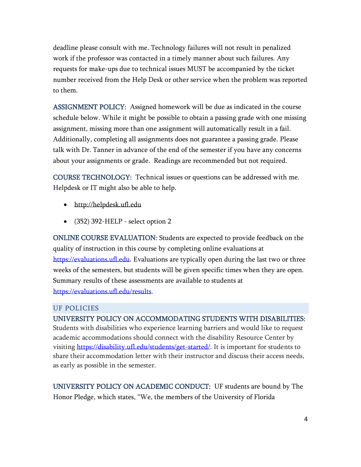deadline please consult with me. Technology failures will not result in penalized work if the professor was contacted in a timely manner about such failures. Any requests for make-ups due to technical issues MUST be accompanied by the ticket number received from the Help Desk or other service when the problem was reported to them.

ASSIGNMENT POLICY: Assigned homework will be due as indicated in the course schedule below. While it might be possible to obtain a passing grade with one missing assignment, missing more than one assignment will automatically result in a fail. Additionally, completing all assignments does not guarantee a passing grade. Please talk with Dr. Tanner in advance of the end of the semester if you have any concerns about your assignments or grade. Readings are recommended but not required.

COURSE TECHNOLOGY: Technical issues or questions can be addressed with me. Helpdesk or IT might also be able to help.

- [http://helpdesk.ufl.edu](http://helpdesk.ufl.edu/)
- $\bullet$  (352) 392-HELP select option 2

ONLINE COURSE EVALUATION: Students are expected to provide feedback on the quality of instruction in this course by completing online evaluations at [https://evaluations.ufl.edu.](https://evaluations.ufl.edu/) Evaluations are typically open during the last two or three weeks of the semesters, but students will be given specific times when they are open. Summary results of these assessments are available to students at [https://evaluations.ufl.edu/results.](https://evaluations.ufl.edu/results)

### UF POLICIES

UNIVERSITY POLICY ON ACCOMMODATING STUDENTS WITH DISABILITIES: Students with disabilities who experience learning barriers and would like to request academic accommodations should connect with the disability Resource Center by visiting [https://disability.ufl.edu/students/get-started/.](https://disability.ufl.edu/students/get-started/) It is important for students to share their accommodation letter with their instructor and discuss their access needs,

as early as possible in the semester.

UNIVERSITY POLICY ON ACADEMIC CONDUCT: UF students are bound by The Honor Pledge, which states, "We, the members of the University of Florida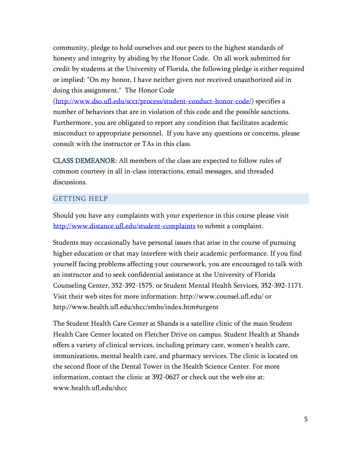community, pledge to hold ourselves and our peers to the highest standards of honesty and integrity by abiding by the Honor Code. On all work submitted for credit by students at the University of Florida, the following pledge is either required or implied: "On my honor, I have neither given nor received unauthorized aid in doing this assignment." The Honor Code

[\(http://www.dso.ufl.edu/sccr/process/student-conduct-honor-code/\)](http://www.dso.ufl.edu/sccr/process/student-conduct-honor-code/) specifies a number of behaviors that are in violation of this code and the possible sanctions. Furthermore, you are obligated to report any condition that facilitates academic misconduct to appropriate personnel. If you have any questions or concerns, please consult with the instructor or TAs in this class.

CLASS DEMEANOR: All members of the class are expected to follow rules of common courtesy in all in-class interactions, email messages, and threaded discussions.

## GETTING HELP

Should you have any complaints with your experience in this course please visit <http://www.distance.ufl.edu/student-complaints> to submit a complaint.

Students may occasionally have personal issues that arise in the course of pursuing higher education or that may interfere with their academic performance. If you find yourself facing problems affecting your coursework, you are encouraged to talk with an instructor and to seek confidential assistance at the University of Florida Counseling Center, 352-392-1575, or Student Mental Health Services, 352-392-1171. Visit their web sites for more information: http://www.counsel.ufl.edu/ or http://www.health.ufl.edu/shcc/smhs/index.htm#urgent

The Student Health Care Center at Shands is a satellite clinic of the main Student Health Care Center located on Fletcher Drive on campus. Student Health at Shands offers a variety of clinical services, including primary care, women's health care, immunizations, mental health care, and pharmacy services. The clinic is located on the second floor of the Dental Tower in the Health Science Center. For more information, contact the clinic at 392-0627 or check out the web site at: www.health.ufl.edu/shcc.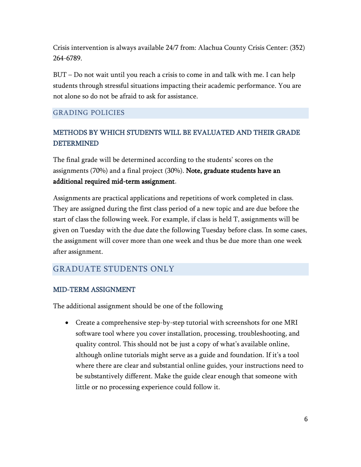Crisis intervention is always available 24/7 from: Alachua County Crisis Center: (352) 264-6789.

BUT – Do not wait until you reach a crisis to come in and talk with me. I can help students through stressful situations impacting their academic performance. You are not alone so do not be afraid to ask for assistance.

## GRADING POLICIES

# METHODS BY WHICH STUDENTS WILL BE EVALUATED AND THEIR GRADE DETERMINED

The final grade will be determined according to the students' scores on the assignments (70%) and a final project (30%). Note, graduate students have an additional required mid-term assignment.

Assignments are practical applications and repetitions of work completed in class. They are assigned during the first class period of a new topic and are due before the start of class the following week. For example, if class is held T, assignments will be given on Tuesday with the due date the following Tuesday before class. In some cases, the assignment will cover more than one week and thus be due more than one week after assignment.

# GRADUATE STUDENTS ONLY

## MID-TERM ASSIGNMENT

The additional assignment should be one of the following

• Create a comprehensive step-by-step tutorial with screenshots for one MRI software tool where you cover installation, processing, troubleshooting, and quality control. This should not be just a copy of what's available online, although online tutorials might serve as a guide and foundation. If it's a tool where there are clear and substantial online guides, your instructions need to be substantively different. Make the guide clear enough that someone with little or no processing experience could follow it.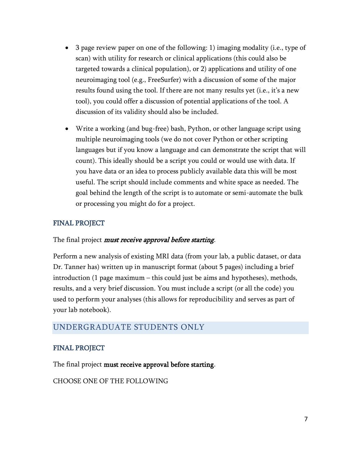- 3 page review paper on one of the following: 1) imaging modality (i.e., type of scan) with utility for research or clinical applications (this could also be targeted towards a clinical population), or 2) applications and utility of one neuroimaging tool (e.g., FreeSurfer) with a discussion of some of the major results found using the tool. If there are not many results yet (i.e., it's a new tool), you could offer a discussion of potential applications of the tool. A discussion of its validity should also be included.
- Write a working (and bug-free) bash, Python, or other language script using multiple neuroimaging tools (we do not cover Python or other scripting languages but if you know a language and can demonstrate the script that will count). This ideally should be a script you could or would use with data. If you have data or an idea to process publicly available data this will be most useful. The script should include comments and white space as needed. The goal behind the length of the script is to automate or semi-automate the bulk or processing you might do for a project.

# FINAL PROJECT

## The final project *must receive approval before starting*.

Perform a new analysis of existing MRI data (from your lab, a public dataset, or data Dr. Tanner has) written up in manuscript format (about 5 pages) including a brief introduction (1 page maximum – this could just be aims and hypotheses), methods, results, and a very brief discussion. You must include a script (or all the code) you used to perform your analyses (this allows for reproducibility and serves as part of your lab notebook).

# UNDERGRADUATE STUDENTS ONLY

## FINAL PROJECT

The final project must receive approval before starting.

CHOOSE ONE OF THE FOLLOWING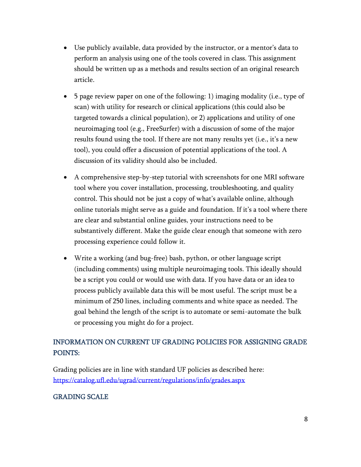- Use publicly available, data provided by the instructor, or a mentor's data to perform an analysis using one of the tools covered in class. This assignment should be written up as a methods and results section of an original research article.
- 5 page review paper on one of the following: 1) imaging modality (i.e., type of scan) with utility for research or clinical applications (this could also be targeted towards a clinical population), or 2) applications and utility of one neuroimaging tool (e.g., FreeSurfer) with a discussion of some of the major results found using the tool. If there are not many results yet (i.e., it's a new tool), you could offer a discussion of potential applications of the tool. A discussion of its validity should also be included.
- A comprehensive step-by-step tutorial with screenshots for one MRI software tool where you cover installation, processing, troubleshooting, and quality control. This should not be just a copy of what's available online, although online tutorials might serve as a guide and foundation. If it's a tool where there are clear and substantial online guides, your instructions need to be substantively different. Make the guide clear enough that someone with zero processing experience could follow it.
- Write a working (and bug-free) bash, python, or other language script (including comments) using multiple neuroimaging tools. This ideally should be a script you could or would use with data. If you have data or an idea to process publicly available data this will be most useful. The script must be a minimum of 250 lines, including comments and white space as needed. The goal behind the length of the script is to automate or semi-automate the bulk or processing you might do for a project.

# INFORMATION ON CURRENT UF GRADING POLICIES FOR ASSIGNING GRADE POINTS:

Grading policies are in line with standard UF policies as described here: <https://catalog.ufl.edu/ugrad/current/regulations/info/grades.aspx>

# GRADING SCALE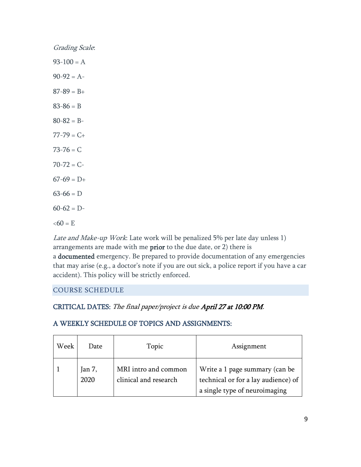| Grading Scale:  |
|-----------------|
| $93-100 = A$    |
| $90-92 = A-$    |
| $87 - 89 = B +$ |
| $83 - 86 = B$   |
| $80 - 82 = B -$ |
| $77 - 79 = C +$ |
| $73 - 76 = C$   |
| $70 - 72 = C -$ |
| $67-69 = D+$    |
| $63-66 = D$     |
| $60-62 = D$     |
| $&50 = E$       |

Late and Make-up Work: Late work will be penalized 5% per late day unless 1) arrangements are made with me prior to the due date, or 2) there is a documented emergency. Be prepared to provide documentation of any emergencies that may arise (e.g., a doctor's note if you are out sick, a police report if you have a car accident). This policy will be strictly enforced.

## COURSE SCHEDULE

# CRITICAL DATES: The final paper/project is due April 27 at 10:00 PM.

## A WEEKLY SCHEDULE OF TOPICS AND ASSIGNMENTS:

| Week | Date           | Topic                                         | Assignment                                                                                             |
|------|----------------|-----------------------------------------------|--------------------------------------------------------------------------------------------------------|
|      | Jan 7,<br>2020 | MRI intro and common<br>clinical and research | Write a 1 page summary (can be<br>technical or for a lay audience) of<br>a single type of neuroimaging |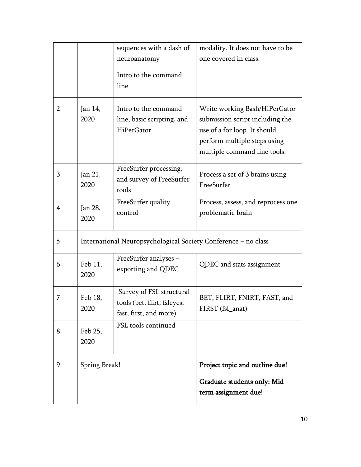|                |                                                                | sequences with a dash of<br>neuroanatomy<br>Intro to the command<br>line          | modality. It does not have to be<br>one covered in class.                                                                                                        |  |  |
|----------------|----------------------------------------------------------------|-----------------------------------------------------------------------------------|------------------------------------------------------------------------------------------------------------------------------------------------------------------|--|--|
| $\overline{2}$ | Jan 14,<br>2020                                                | Intro to the command<br>line, basic scripting, and<br>HiPerGator                  | Write working Bash/HiPerGator<br>submission script including the<br>use of a for loop. It should<br>perform multiple steps using<br>multiple command line tools. |  |  |
| 3              | Jan 21,<br>2020                                                | FreeSurfer processing,<br>and survey of FreeSurfer<br>tools                       | Process a set of 3 brains using<br>FreeSurfer                                                                                                                    |  |  |
| 4              | Jan 28,<br>2020                                                | FreeSurfer quality<br>control                                                     | Process, assess, and reprocess one<br>problematic brain                                                                                                          |  |  |
| 5              | International Neuropsychological Society Conference - no class |                                                                                   |                                                                                                                                                                  |  |  |
| 6              | Feb 11,<br>2020                                                | FreeSurfer analyses -<br>exporting and QDEC                                       | QDEC and stats assignment                                                                                                                                        |  |  |
| 7              | Feb 18,<br>2020                                                | Survey of FSL structural<br>tools (bet, flirt, fsleyes,<br>fast, first, and more) | BET, FLIRT, FNIRT, FAST, and<br>FIRST (fsl_anat)                                                                                                                 |  |  |
| 8              | Feb 25,<br>2020                                                | FSL tools continued                                                               |                                                                                                                                                                  |  |  |
| 9              | Spring Break!                                                  |                                                                                   | Project topic and outline due!<br>Graduate students only: Mid-<br>term assignment due!                                                                           |  |  |